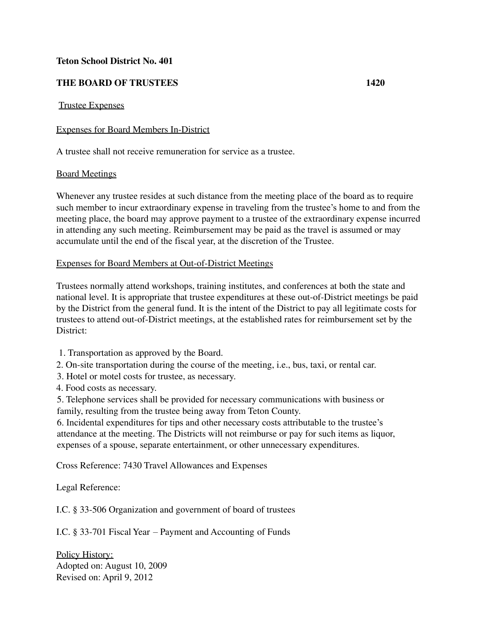## **Teton School District No. 401**

# **THE BOARD OF TRUSTEES 1420**

### Trustee Expenses

## Expenses for Board Members In-District

A trustee shall not receive remuneration for service as a trustee.

#### Board Meetings

Whenever any trustee resides at such distance from the meeting place of the board as to require such member to incur extraordinary expense in traveling from the trustee's home to and from the meeting place, the board may approve payment to a trustee of the extraordinary expense incurred in attending any such meeting. Reimbursement may be paid as the travel is assumed or may accumulate until the end of the fiscal year, at the discretion of the Trustee.

#### Expenses for Board Members at Out-of-District Meetings

Trustees normally attend workshops, training institutes, and conferences at both the state and national level. It is appropriate that trustee expenditures at these out-of-District meetings be paid by the District from the general fund. It is the intent of the District to pay all legitimate costs for trustees to attend out-of-District meetings, at the established rates for reimbursement set by the District:

1. Transportation as approved by the Board.

2. On-site transportation during the course of the meeting, i.e., bus, taxi, or rental car.

- 3. Hotel or motel costs for trustee, as necessary.
- 4. Food costs as necessary.

5. Telephone services shall be provided for necessary communications with business or family, resulting from the trustee being away from Teton County.

6. Incidental expenditures for tips and other necessary costs attributable to the trustee's attendance at the meeting. The Districts will not reimburse or pay for such items as liquor, expenses of a spouse, separate entertainment, or other unnecessary expenditures.

Cross Reference: 7430 Travel Allowances and Expenses

Legal Reference:

I.C. § 33-506 Organization and government of board of trustees

I.C. § 33-701 Fiscal Year – Payment and Accounting of Funds

Policy History: Adopted on: August 10, 2009 Revised on: April 9, 2012